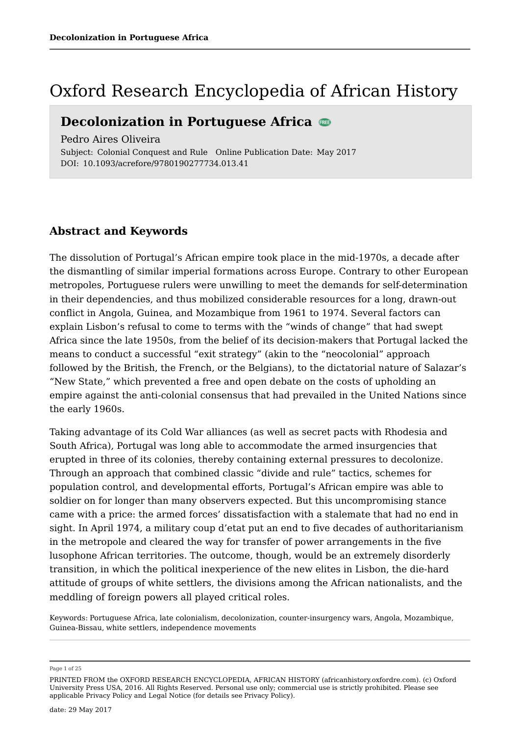## Oxford Research Encyclopedia of African History

### **Decolonization in Portuguese Africa**

Pedro Aires Oliveira

Subject: Colonial Conquest and Rule Online Publication Date: May 2017 DOI: 10.1093/acrefore/9780190277734.013.41

### **Abstract and Keywords**

The dissolution of Portugal's African empire took place in the mid-1970s, a decade after the dismantling of similar imperial formations across Europe. Contrary to other European metropoles, Portuguese rulers were unwilling to meet the demands for self-determination in their dependencies, and thus mobilized considerable resources for a long, drawn-out conflict in Angola, Guinea, and Mozambique from 1961 to 1974. Several factors can explain Lisbon's refusal to come to terms with the "winds of change" that had swept Africa since the late 1950s, from the belief of its decision-makers that Portugal lacked the means to conduct a successful "exit strategy" (akin to the "neocolonial" approach followed by the British, the French, or the Belgians), to the dictatorial nature of Salazar's "New State," which prevented a free and open debate on the costs of upholding an empire against the anti-colonial consensus that had prevailed in the United Nations since the early 1960s.

Taking advantage of its Cold War alliances (as well as secret pacts with Rhodesia and South Africa), Portugal was long able to accommodate the armed insurgencies that erupted in three of its colonies, thereby containing external pressures to decolonize. Through an approach that combined classic "divide and rule" tactics, schemes for population control, and developmental efforts, Portugal's African empire was able to soldier on for longer than many observers expected. But this uncompromising stance came with a price: the armed forces' dissatisfaction with a stalemate that had no end in sight. In April 1974, a military coup d'etat put an end to five decades of authoritarianism in the metropole and cleared the way for transfer of power arrangements in the five lusophone African territories. The outcome, though, would be an extremely disorderly transition, in which the political inexperience of the new elites in Lisbon, the die-hard attitude of groups of white settlers, the divisions among the African nationalists, and the meddling of foreign powers all played critical roles.

Keywords: Portuguese Africa, late colonialism, decolonization, counter-insurgency wars, Angola, Mozambique, Guinea-Bissau, white settlers, independence movements

Page 1 of 25

PRINTED FROM the OXFORD RESEARCH ENCYCLOPEDIA, AFRICAN HISTORY (africanhistory.oxfordre.com). (c) Oxford University Press USA, 2016. All Rights Reserved. Personal use only; commercial use is strictly prohibited. Please see applicable Privacy Policy and Legal Notice (for details see Privacy Policy).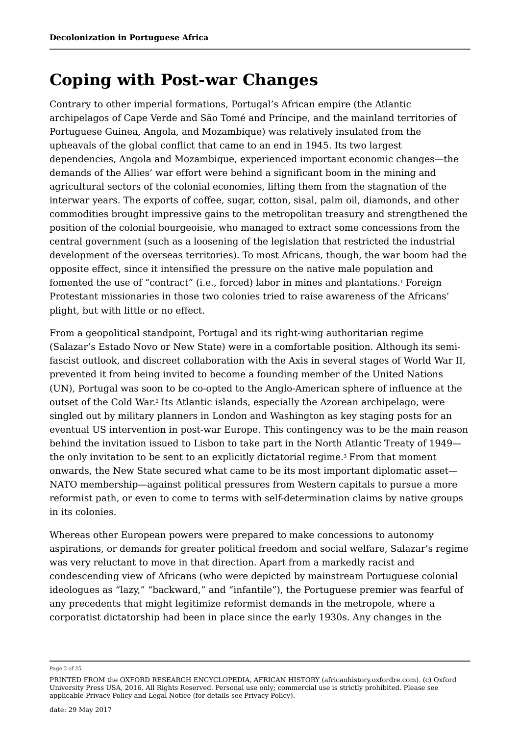## **Coping with Post-war Changes**

Contrary to other imperial formations, Portugal's African empire (the Atlantic archipelagos of Cape Verde and São Tomé and Príncipe, and the mainland territories of Portuguese Guinea, Angola, and Mozambique) was relatively insulated from the upheavals of the global conflict that came to an end in 1945. Its two largest dependencies, Angola and Mozambique, experienced important economic changes—the demands of the Allies' war effort were behind a significant boom in the mining and agricultural sectors of the colonial economies, lifting them from the stagnation of the interwar years. The exports of coffee, sugar, cotton, sisal, palm oil, diamonds, and other commodities brought impressive gains to the metropolitan treasury and strengthened the position of the colonial bourgeoisie, who managed to extract some concessions from the central government (such as a loosening of the legislation that restricted the industrial development of the overseas territories). To most Africans, though, the war boom had the opposite effect, since it intensified the pressure on the native male population and fomented the use of "contract" (i.e., forced) labor in mines and plantations.1 Foreign Protestant missionaries in those two colonies tried to raise awareness of the Africans' plight, but with little or no effect.

From a geopolitical standpoint, Portugal and its right-wing authoritarian regime (Salazar's Estado Novo or New State) were in a comfortable position. Although its semifascist outlook, and discreet collaboration with the Axis in several stages of World War II, prevented it from being invited to become a founding member of the United Nations (UN), Portugal was soon to be co-opted to the Anglo-American sphere of influence at the outset of the Cold War.<sup>2</sup> Its Atlantic islands, especially the Azorean archipelago, were singled out by military planners in London and Washington as key staging posts for an eventual US intervention in post-war Europe. This contingency was to be the main reason behind the invitation issued to Lisbon to take part in the North Atlantic Treaty of 1949 the only invitation to be sent to an explicitly dictatorial regime.<sup>3</sup> From that moment onwards, the New State secured what came to be its most important diplomatic asset— NATO membership—against political pressures from Western capitals to pursue a more reformist path, or even to come to terms with self-determination claims by native groups in its colonies.

Whereas other European powers were prepared to make concessions to autonomy aspirations, or demands for greater political freedom and social welfare, Salazar's regime was very reluctant to move in that direction. Apart from a markedly racist and condescending view of Africans (who were depicted by mainstream Portuguese colonial ideologues as "lazy," "backward," and "infantile"), the Portuguese premier was fearful of any precedents that might legitimize reformist demands in the metropole, where a corporatist dictatorship had been in place since the early 1930s. Any changes in the

Page 2 of 25

PRINTED FROM the OXFORD RESEARCH ENCYCLOPEDIA, AFRICAN HISTORY (africanhistory.oxfordre.com). (c) Oxford University Press USA, 2016. All Rights Reserved. Personal use only; commercial use is strictly prohibited. Please see applicable Privacy Policy and Legal Notice (for details see Privacy Policy).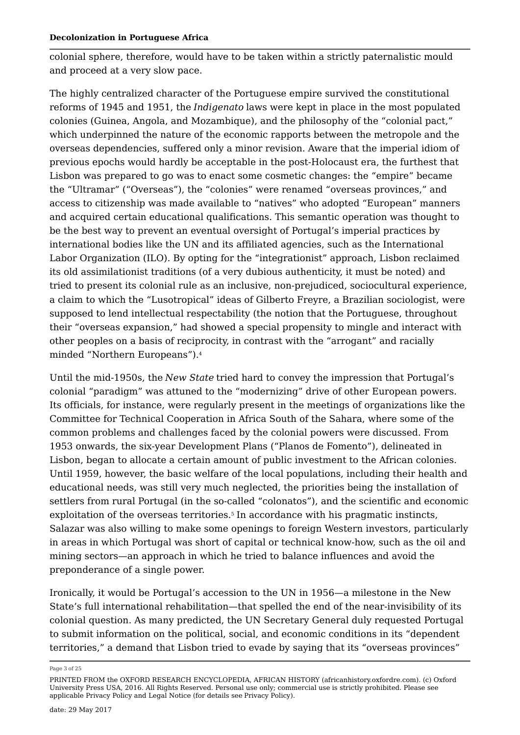colonial sphere, therefore, would have to be taken within a strictly paternalistic mould and proceed at a very slow pace.

The highly centralized character of the Portuguese empire survived the constitutional reforms of 1945 and 1951, the *Indigenato* laws were kept in place in the most populated colonies (Guinea, Angola, and Mozambique), and the philosophy of the "colonial pact," which underpinned the nature of the economic rapports between the metropole and the overseas dependencies, suffered only a minor revision. Aware that the imperial idiom of previous epochs would hardly be acceptable in the post-Holocaust era, the furthest that Lisbon was prepared to go was to enact some cosmetic changes: the "empire" became the "Ultramar" ("Overseas"), the "colonies" were renamed "overseas provinces," and access to citizenship was made available to "natives" who adopted "European" manners and acquired certain educational qualifications. This semantic operation was thought to be the best way to prevent an eventual oversight of Portugal's imperial practices by international bodies like the UN and its affiliated agencies, such as the International Labor Organization (ILO). By opting for the "integrationist" approach, Lisbon reclaimed its old assimilationist traditions (of a very dubious authenticity, it must be noted) and tried to present its colonial rule as an inclusive, non-prejudiced, sociocultural experience, a claim to which the "Lusotropical" ideas of Gilberto Freyre, a Brazilian sociologist, were supposed to lend intellectual respectability (the notion that the Portuguese, throughout their "overseas expansion," had showed a special propensity to mingle and interact with other peoples on a basis of reciprocity, in contrast with the "arrogant" and racially minded "Northern Europeans"). 4

Until the mid-1950s, the *New State* tried hard to convey the impression that Portugal's colonial "paradigm" was attuned to the "modernizing" drive of other European powers. Its officials, for instance, were regularly present in the meetings of organizations like the Committee for Technical Cooperation in Africa South of the Sahara, where some of the common problems and challenges faced by the colonial powers were discussed. From 1953 onwards, the six-year Development Plans ("Planos de Fomento"), delineated in Lisbon, began to allocate a certain amount of public investment to the African colonies. Until 1959, however, the basic welfare of the local populations, including their health and educational needs, was still very much neglected, the priorities being the installation of settlers from rural Portugal (in the so-called "colonatos"), and the scientific and economic exploitation of the overseas territories.<sup>5</sup> In accordance with his pragmatic instincts, Salazar was also willing to make some openings to foreign Western investors, particularly in areas in which Portugal was short of capital or technical know-how, such as the oil and mining sectors—an approach in which he tried to balance influences and avoid the preponderance of a single power.

Ironically, it would be Portugal's accession to the UN in 1956—a milestone in the New State's full international rehabilitation—that spelled the end of the near-invisibility of its colonial question. As many predicted, the UN Secretary General duly requested Portugal to submit information on the political, social, and economic conditions in its "dependent territories," a demand that Lisbon tried to evade by saying that its "overseas provinces"

Page 3 of 25

PRINTED FROM the OXFORD RESEARCH ENCYCLOPEDIA, AFRICAN HISTORY (africanhistory.oxfordre.com). (c) Oxford University Press USA, 2016. All Rights Reserved. Personal use only; commercial use is strictly prohibited. Please see applicable Privacy Policy and Legal Notice (for details see Privacy Policy).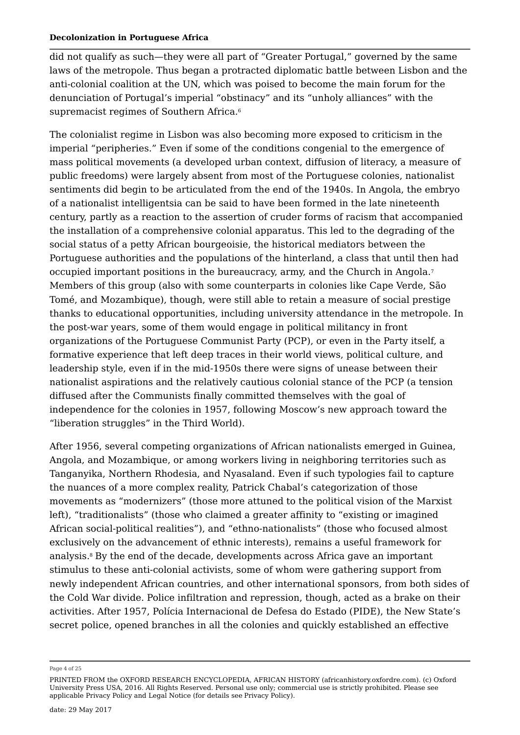did not qualify as such—they were all part of "Greater Portugal," governed by the same laws of the metropole. Thus began a protracted diplomatic battle between Lisbon and the anti-colonial coalition at the UN, which was poised to become the main forum for the denunciation of Portugal's imperial "obstinacy" and its "unholy alliances" with the supremacist regimes of Southern Africa.  $6\,$ 

The colonialist regime in Lisbon was also becoming more exposed to criticism in the imperial "peripheries." Even if some of the conditions congenial to the emergence of mass political movements (a developed urban context, diffusion of literacy, a measure of public freedoms) were largely absent from most of the Portuguese colonies, nationalist sentiments did begin to be articulated from the end of the 1940s. In Angola, the embryo of a nationalist intelligentsia can be said to have been formed in the late nineteenth century, partly as a reaction to the assertion of cruder forms of racism that accompanied the installation of a comprehensive colonial apparatus. This led to the degrading of the social status of a petty African bourgeoisie, the historical mediators between the Portuguese authorities and the populations of the hinterland, a class that until then had occupied important positions in the bureaucracy, army, and the Church in Angola. Members of this group (also with some counterparts in colonies like Cape Verde, São Tomé, and Mozambique), though, were still able to retain a measure of social prestige thanks to educational opportunities, including university attendance in the metropole. In the post-war years, some of them would engage in political militancy in front organizations of the Portuguese Communist Party (PCP), or even in the Party itself, a formative experience that left deep traces in their world views, political culture, and leadership style, even if in the mid-1950s there were signs of unease between their nationalist aspirations and the relatively cautious colonial stance of the PCP (a tension diffused after the Communists finally committed themselves with the goal of independence for the colonies in 1957, following Moscow's new approach toward the "liberation struggles" in the Third World). 7

After 1956, several competing organizations of African nationalists emerged in Guinea, Angola, and Mozambique, or among workers living in neighboring territories such as Tanganyika, Northern Rhodesia, and Nyasaland. Even if such typologies fail to capture the nuances of a more complex reality, Patrick Chabal's categorization of those movements as "modernizers" (those more attuned to the political vision of the Marxist left), "traditionalists" (those who claimed a greater affinity to "existing or imagined African social-political realities"), and "ethno-nationalists" (those who focused almost exclusively on the advancement of ethnic interests), remains a useful framework for analysis.8 By the end of the decade, developments across Africa gave an important stimulus to these anti-colonial activists, some of whom were gathering support from newly independent African countries, and other international sponsors, from both sides of the Cold War divide. Police infiltration and repression, though, acted as a brake on their activities. After 1957, Polícia Internacional de Defesa do Estado (PIDE), the New State's secret police, opened branches in all the colonies and quickly established an effective

Page 4 of 25

PRINTED FROM the OXFORD RESEARCH ENCYCLOPEDIA, AFRICAN HISTORY (africanhistory.oxfordre.com). (c) Oxford University Press USA, 2016. All Rights Reserved. Personal use only; commercial use is strictly prohibited. Please see applicable Privacy Policy and Legal Notice (for details see Privacy Policy).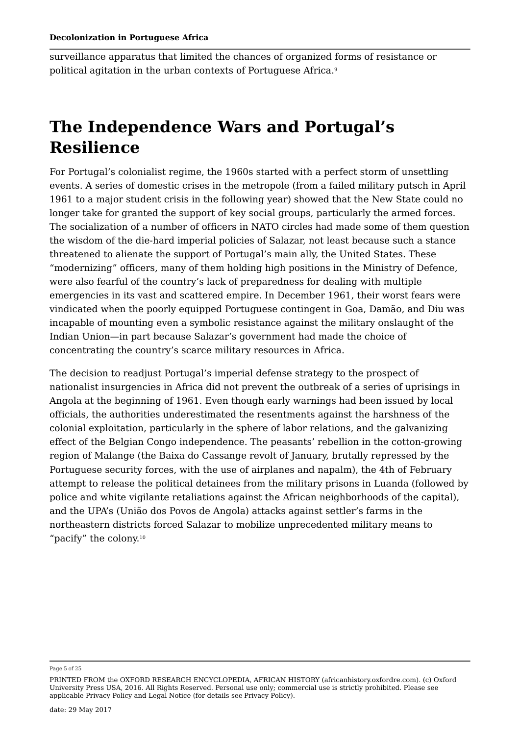surveillance apparatus that limited the chances of organized forms of resistance or political agitation in the urban contexts of Portuguese Africa. 9

# **The Independence Wars and Portugal's Resilience**

For Portugal's colonialist regime, the 1960s started with a perfect storm of unsettling events. A series of domestic crises in the metropole (from a failed military putsch in April 1961 to a major student crisis in the following year) showed that the New State could no longer take for granted the support of key social groups, particularly the armed forces. The socialization of a number of officers in NATO circles had made some of them question the wisdom of the die-hard imperial policies of Salazar, not least because such a stance threatened to alienate the support of Portugal's main ally, the United States. These "modernizing" officers, many of them holding high positions in the Ministry of Defence, were also fearful of the country's lack of preparedness for dealing with multiple emergencies in its vast and scattered empire. In December 1961, their worst fears were vindicated when the poorly equipped Portuguese contingent in Goa, Damão, and Diu was incapable of mounting even a symbolic resistance against the military onslaught of the Indian Union—in part because Salazar's government had made the choice of concentrating the country's scarce military resources in Africa.

The decision to readjust Portugal's imperial defense strategy to the prospect of nationalist insurgencies in Africa did not prevent the outbreak of a series of uprisings in Angola at the beginning of 1961. Even though early warnings had been issued by local officials, the authorities underestimated the resentments against the harshness of the colonial exploitation, particularly in the sphere of labor relations, and the galvanizing effect of the Belgian Congo independence. The peasants' rebellion in the cotton-growing region of Malange (the Baixa do Cassange revolt of January, brutally repressed by the Portuguese security forces, with the use of airplanes and napalm), the 4th of February attempt to release the political detainees from the military prisons in Luanda (followed by police and white vigilante retaliations against the African neighborhoods of the capital), and the UPA's (União dos Povos de Angola) attacks against settler's farms in the northeastern districts forced Salazar to mobilize unprecedented military means to "pacify" the colony. 10

Page 5 of 25

PRINTED FROM the OXFORD RESEARCH ENCYCLOPEDIA, AFRICAN HISTORY (africanhistory.oxfordre.com). (c) Oxford University Press USA, 2016. All Rights Reserved. Personal use only; commercial use is strictly prohibited. Please see applicable Privacy Policy and Legal Notice (for details see Privacy Policy).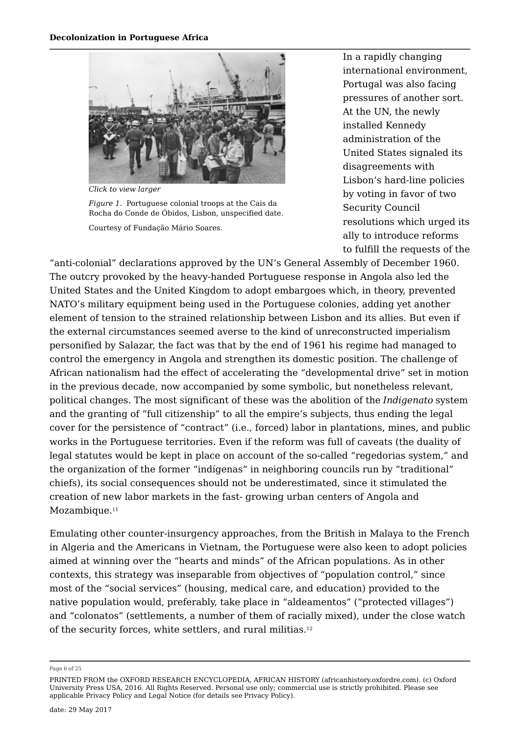

*Click to view larger*

*Figure 1.* Portuguese colonial troops at the Cais da Rocha do Conde de Óbidos, Lisbon, unspecified date.

Courtesy of Fundação Mário Soares.

In a rapidly changing international environment, Portugal was also facing pressures of another sort. At the UN, the newly installed Kennedy administration of the United States signaled its disagreements with Lisbon's hard-line policies by voting in favor of two Security Council resolutions which urged its ally to introduce reforms to fulfill the requests of the

"anti-colonial" declarations approved by the UN's General Assembly of December 1960. The outcry provoked by the heavy-handed Portuguese response in Angola also led the United States and the United Kingdom to adopt embargoes which, in theory, prevented NATO's military equipment being used in the Portuguese colonies, adding yet another element of tension to the strained relationship between Lisbon and its allies. But even if the external circumstances seemed averse to the kind of unreconstructed imperialism personified by Salazar, the fact was that by the end of 1961 his regime had managed to control the emergency in Angola and strengthen its domestic position. The challenge of African nationalism had the effect of accelerating the "developmental drive" set in motion in the previous decade, now accompanied by some symbolic, but nonetheless relevant, political changes. The most significant of these was the abolition of the *Indigenato* system and the granting of "full citizenship" to all the empire's subjects, thus ending the legal cover for the persistence of "contract" (i.e., forced) labor in plantations, mines, and public works in the Portuguese territories. Even if the reform was full of caveats (the duality of legal statutes would be kept in place on account of the so-called "regedorias system," and the organization of the former "indígenas" in neighboring councils run by "traditional" chiefs), its social consequences should not be underestimated, since it stimulated the creation of new labor markets in the fast- growing urban centers of Angola and Mozambique.<sup>11</sup> 11

Emulating other counter-insurgency approaches, from the British in Malaya to the French in Algeria and the Americans in Vietnam, the Portuguese were also keen to adopt policies aimed at winning over the "hearts and minds" of the African populations. As in other contexts, this strategy was inseparable from objectives of "population control," since most of the "social services" (housing, medical care, and education) provided to the native population would, preferably, take place in "aldeamentos" ("protected villages") and "colonatos" (settlements, a number of them of racially mixed), under the close watch of the security forces, white settlers, and rural militias. 12

Page 6 of 25

PRINTED FROM the OXFORD RESEARCH ENCYCLOPEDIA, AFRICAN HISTORY (africanhistory.oxfordre.com). (c) Oxford University Press USA, 2016. All Rights Reserved. Personal use only; commercial use is strictly prohibited. Please see applicable Privacy Policy and Legal Notice (for details see Privacy Policy).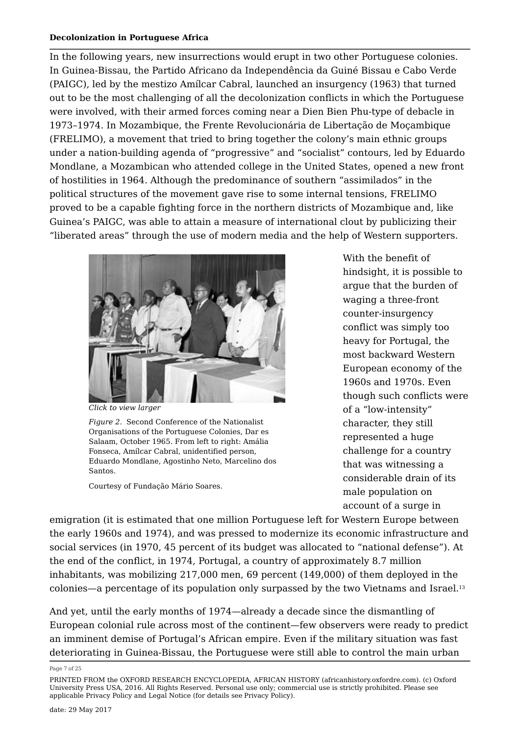In the following years, new insurrections would erupt in two other Portuguese colonies. In Guinea-Bissau, the Partido Africano da Independência da Guiné Bissau e Cabo Verde (PAIGC), led by the mestizo Amílcar Cabral, launched an insurgency (1963) that turned out to be the most challenging of all the decolonization conflicts in which the Portuguese were involved, with their armed forces coming near a Dien Bien Phu-type of debacle in 1973–1974. In Mozambique, the Frente Revolucionária de Libertação de Moçambique (FRELIMO), a movement that tried to bring together the colony's main ethnic groups under a nation-building agenda of "progressive" and "socialist" contours, led by Eduardo Mondlane, a Mozambican who attended college in the United States, opened a new front of hostilities in 1964. Although the predominance of southern "assimilados" in the political structures of the movement gave rise to some internal tensions, FRELIMO proved to be a capable fighting force in the northern districts of Mozambique and, like Guinea's PAIGC, was able to attain a measure of international clout by publicizing their "liberated areas" through the use of modern media and the help of Western supporters.



*Click to view larger*

*Figure 2.* Second Conference of the Nationalist Organisations of the Portuguese Colonies, Dar es Salaam, October 1965. From left to right: Amália Fonseca, Amílcar Cabral, unidentified person, Eduardo Mondlane, Agostinho Neto, Marcelino dos Santos.

Courtesy of Fundação Mário Soares.

With the benefit of hindsight, it is possible to argue that the burden of waging a three-front counter-insurgency conflict was simply too heavy for Portugal, the most backward Western European economy of the 1960s and 1970s. Even though such conflicts were of a "low-intensity" character, they still represented a huge challenge for a country that was witnessing a considerable drain of its male population on account of a surge in

emigration (it is estimated that one million Portuguese left for Western Europe between the early 1960s and 1974), and was pressed to modernize its economic infrastructure and social services (in 1970, 45 percent of its budget was allocated to "national defense"). At the end of the conflict, in 1974, Portugal, a country of approximately 8.7 million inhabitants, was mobilizing 217,000 men, 69 percent (149,000) of them deployed in the colonies—a percentage of its population only surpassed by the two Vietnams and Israel. 13

And yet, until the early months of 1974—already a decade since the dismantling of European colonial rule across most of the continent—few observers were ready to predict an imminent demise of Portugal's African empire. Even if the military situation was fast deteriorating in Guinea-Bissau, the Portuguese were still able to control the main urban

Page 7 of 25

PRINTED FROM the OXFORD RESEARCH ENCYCLOPEDIA, AFRICAN HISTORY (africanhistory.oxfordre.com). (c) Oxford University Press USA, 2016. All Rights Reserved. Personal use only; commercial use is strictly prohibited. Please see applicable Privacy Policy and Legal Notice (for details see Privacy Policy).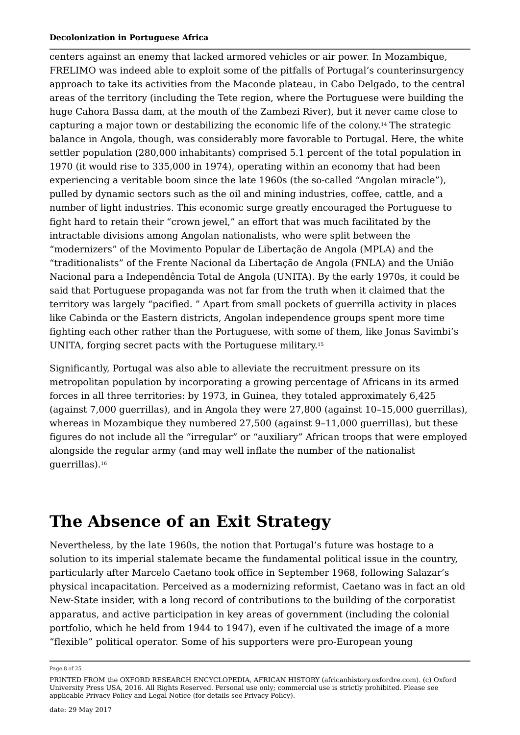centers against an enemy that lacked armored vehicles or air power. In Mozambique, FRELIMO was indeed able to exploit some of the pitfalls of Portugal's counterinsurgency approach to take its activities from the Maconde plateau, in Cabo Delgado, to the central areas of the territory (including the Tete region, where the Portuguese were building the huge Cahora Bassa dam, at the mouth of the Zambezi River), but it never came close to capturing a major town or destabilizing the economic life of the colony. $^{14}$  The strategic balance in Angola, though, was considerably more favorable to Portugal. Here, the white settler population (280,000 inhabitants) comprised 5.1 percent of the total population in 1970 (it would rise to 335,000 in 1974), operating within an economy that had been experiencing a veritable boom since the late 1960s (the so-called "Angolan miracle"), pulled by dynamic sectors such as the oil and mining industries, coffee, cattle, and a number of light industries. This economic surge greatly encouraged the Portuguese to fight hard to retain their "crown jewel," an effort that was much facilitated by the intractable divisions among Angolan nationalists, who were split between the "modernizers" of the Movimento Popular de Libertação de Angola (MPLA) and the "traditionalists" of the Frente Nacional da Libertação de Angola (FNLA) and the União Nacional para a Independência Total de Angola (UNITA). By the early 1970s, it could be said that Portuguese propaganda was not far from the truth when it claimed that the territory was largely "pacified. " Apart from small pockets of guerrilla activity in places like Cabinda or the Eastern districts, Angolan independence groups spent more time fighting each other rather than the Portuguese, with some of them, like Jonas Savimbi's UNITA, forging secret pacts with the Portuguese military. 15

Significantly, Portugal was also able to alleviate the recruitment pressure on its metropolitan population by incorporating a growing percentage of Africans in its armed forces in all three territories: by 1973, in Guinea, they totaled approximately 6,425 (against 7,000 guerrillas), and in Angola they were 27,800 (against 10–15,000 guerrillas), whereas in Mozambique they numbered 27,500 (against 9–11,000 guerrillas), but these figures do not include all the "irregular" or "auxiliary" African troops that were employed alongside the regular army (and may well inflate the number of the nationalist guerrillas). 16

## **The Absence of an Exit Strategy**

Nevertheless, by the late 1960s, the notion that Portugal's future was hostage to a solution to its imperial stalemate became the fundamental political issue in the country, particularly after Marcelo Caetano took office in September 1968, following Salazar's physical incapacitation. Perceived as a modernizing reformist, Caetano was in fact an old New-State insider, with a long record of contributions to the building of the corporatist apparatus, and active participation in key areas of government (including the colonial portfolio, which he held from 1944 to 1947), even if he cultivated the image of a more "flexible" political operator. Some of his supporters were pro-European young

Page 8 of 25

PRINTED FROM the OXFORD RESEARCH ENCYCLOPEDIA, AFRICAN HISTORY (africanhistory.oxfordre.com). (c) Oxford University Press USA, 2016. All Rights Reserved. Personal use only; commercial use is strictly prohibited. Please see applicable Privacy Policy and Legal Notice (for details see Privacy Policy).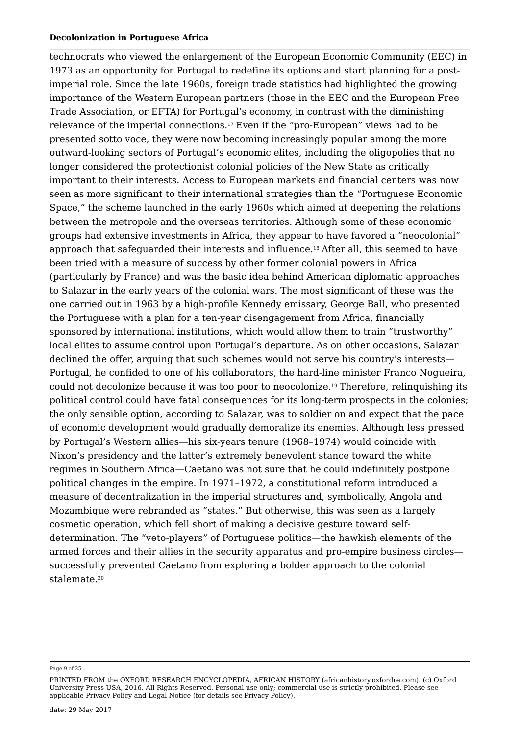technocrats who viewed the enlargement of the European Economic Community (EEC) in 1973 as an opportunity for Portugal to redefine its options and start planning for a postimperial role. Since the late 1960s, foreign trade statistics had highlighted the growing importance of the Western European partners (those in the EEC and the European Free Trade Association, or EFTA) for Portugal's economy, in contrast with the diminishing relevance of the imperial connections.17 Even if the "pro-European" views had to be presented sotto voce, they were now becoming increasingly popular among the more outward-looking sectors of Portugal's economic elites, including the oligopolies that no longer considered the protectionist colonial policies of the New State as critically important to their interests. Access to European markets and financial centers was now seen as more significant to their international strategies than the "Portuguese Economic Space," the scheme launched in the early 1960s which aimed at deepening the relations between the metropole and the overseas territories. Although some of these economic groups had extensive investments in Africa, they appear to have favored a "neocolonial" approach that safeguarded their interests and influence.18 After all, this seemed to have been tried with a measure of success by other former colonial powers in Africa (particularly by France) and was the basic idea behind American diplomatic approaches to Salazar in the early years of the colonial wars. The most significant of these was the one carried out in 1963 by a high-profile Kennedy emissary, George Ball, who presented the Portuguese with a plan for a ten-year disengagement from Africa, financially sponsored by international institutions, which would allow them to train "trustworthy" local elites to assume control upon Portugal's departure. As on other occasions, Salazar declined the offer, arguing that such schemes would not serve his country's interests— Portugal, he confided to one of his collaborators, the hard-line minister Franco Nogueira, could not decolonize because it was too poor to neocolonize.<sup>19</sup> Therefore, relinquishing its political control could have fatal consequences for its long-term prospects in the colonies; the only sensible option, according to Salazar, was to soldier on and expect that the pace of economic development would gradually demoralize its enemies. Although less pressed by Portugal's Western allies—his six-years tenure (1968–1974) would coincide with Nixon's presidency and the latter's extremely benevolent stance toward the white regimes in Southern Africa—Caetano was not sure that he could indefinitely postpone political changes in the empire. In 1971–1972, a constitutional reform introduced a measure of decentralization in the imperial structures and, symbolically, Angola and Mozambique were rebranded as "states." But otherwise, this was seen as a largely cosmetic operation, which fell short of making a decisive gesture toward selfdetermination. The "veto-players" of Portuguese politics—the hawkish elements of the armed forces and their allies in the security apparatus and pro-empire business circles successfully prevented Caetano from exploring a bolder approach to the colonial stalemate. 20

Page 9 of 25

PRINTED FROM the OXFORD RESEARCH ENCYCLOPEDIA, AFRICAN HISTORY (africanhistory.oxfordre.com). (c) Oxford University Press USA, 2016. All Rights Reserved. Personal use only; commercial use is strictly prohibited. Please see applicable Privacy Policy and Legal Notice (for details see Privacy Policy).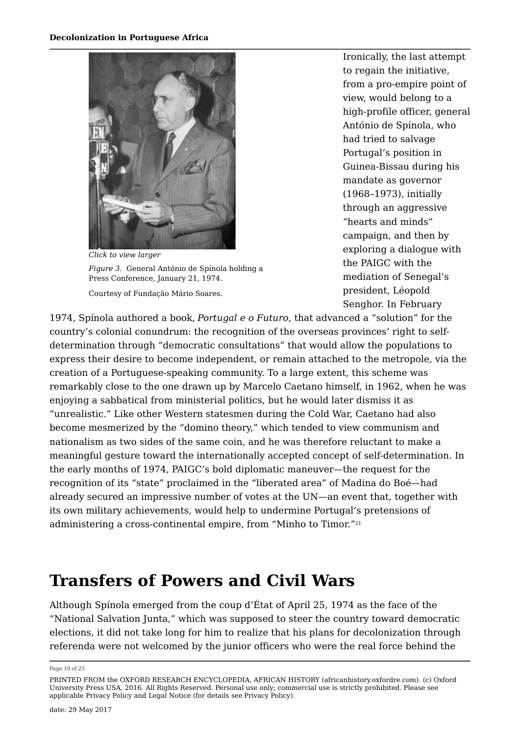

*Click to view larger Figure 3.* General António de Spínola holding a Press Conference, January 21, 1974. Courtesy of Fundação Mário Soares.

Ironically, the last attempt to regain the initiative, from a pro-empire point of view, would belong to a high-profile officer, general António de Spínola, who had tried to salvage Portugal's position in Guinea-Bissau during his mandate as governor (1968–1973), initially through an aggressive "hearts and minds" campaign, and then by exploring a dialogue with the PAIGC with the mediation of Senegal's president, Léopold Senghor. In February

1974, Spínola authored a book, *Portugal e o Futuro*, that advanced a "solution" for the country's colonial conundrum: the recognition of the overseas provinces' right to selfdetermination through "democratic consultations" that would allow the populations to express their desire to become independent, or remain attached to the metropole, via the creation of a Portuguese-speaking community. To a large extent, this scheme was remarkably close to the one drawn up by Marcelo Caetano himself, in 1962, when he was enjoying a sabbatical from ministerial politics, but he would later dismiss it as "unrealistic." Like other Western statesmen during the Cold War, Caetano had also become mesmerized by the "domino theory," which tended to view communism and nationalism as two sides of the same coin, and he was therefore reluctant to make a meaningful gesture toward the internationally accepted concept of self-determination. In the early months of 1974, PAIGC's bold diplomatic maneuver—the request for the recognition of its "state" proclaimed in the "liberated area" of Madina do Boé—had already secured an impressive number of votes at the UN—an event that, together with its own military achievements, would help to undermine Portugal's pretensions of administering a cross-continental empire, from "Minho to Timor." 21

# **Transfers of Powers and Civil Wars**

Although Spínola emerged from the coup d'État of April 25, 1974 as the face of the "National Salvation Junta," which was supposed to steer the country toward democratic elections, it did not take long for him to realize that his plans for decolonization through referenda were not welcomed by the junior officers who were the real force behind the

Page 10 of 25

PRINTED FROM the OXFORD RESEARCH ENCYCLOPEDIA, AFRICAN HISTORY (africanhistory.oxfordre.com). (c) Oxford University Press USA, 2016. All Rights Reserved. Personal use only; commercial use is strictly prohibited. Please see applicable Privacy Policy and Legal Notice (for details see Privacy Policy).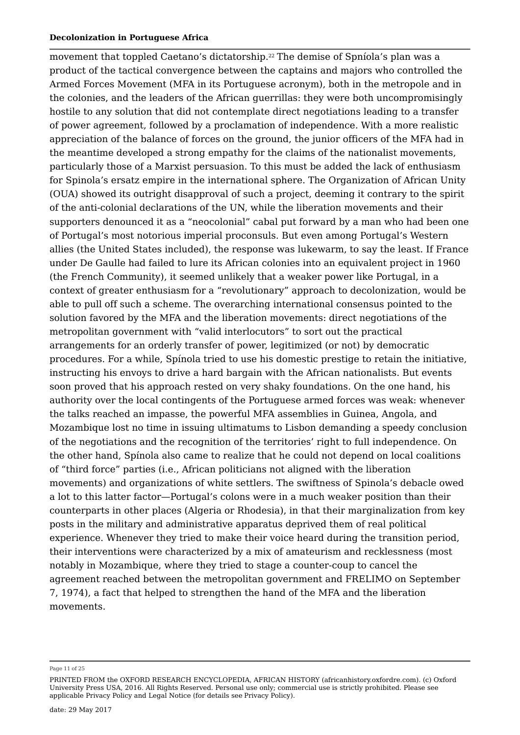movement that toppled Caetano's dictatorship.<sup>22</sup> The demise of Spníola's plan was a product of the tactical convergence between the captains and majors who controlled the Armed Forces Movement (MFA in its Portuguese acronym), both in the metropole and in the colonies, and the leaders of the African guerrillas: they were both uncompromisingly hostile to any solution that did not contemplate direct negotiations leading to a transfer of power agreement, followed by a proclamation of independence. With a more realistic appreciation of the balance of forces on the ground, the junior officers of the MFA had in the meantime developed a strong empathy for the claims of the nationalist movements, particularly those of a Marxist persuasion. To this must be added the lack of enthusiasm for Spinola's ersatz empire in the international sphere. The Organization of African Unity (OUA) showed its outright disapproval of such a project, deeming it contrary to the spirit of the anti-colonial declarations of the UN, while the liberation movements and their supporters denounced it as a "neocolonial" cabal put forward by a man who had been one of Portugal's most notorious imperial proconsuls. But even among Portugal's Western allies (the United States included), the response was lukewarm, to say the least. If France under De Gaulle had failed to lure its African colonies into an equivalent project in 1960 (the French Community), it seemed unlikely that a weaker power like Portugal, in a context of greater enthusiasm for a "revolutionary" approach to decolonization, would be able to pull off such a scheme. The overarching international consensus pointed to the solution favored by the MFA and the liberation movements: direct negotiations of the metropolitan government with "valid interlocutors" to sort out the practical arrangements for an orderly transfer of power, legitimized (or not) by democratic procedures. For a while, Spínola tried to use his domestic prestige to retain the initiative, instructing his envoys to drive a hard bargain with the African nationalists. But events soon proved that his approach rested on very shaky foundations. On the one hand, his authority over the local contingents of the Portuguese armed forces was weak: whenever the talks reached an impasse, the powerful MFA assemblies in Guinea, Angola, and Mozambique lost no time in issuing ultimatums to Lisbon demanding a speedy conclusion of the negotiations and the recognition of the territories' right to full independence. On the other hand, Spínola also came to realize that he could not depend on local coalitions of "third force" parties (i.e., African politicians not aligned with the liberation movements) and organizations of white settlers. The swiftness of Spinola's debacle owed a lot to this latter factor—Portugal's colons were in a much weaker position than their counterparts in other places (Algeria or Rhodesia), in that their marginalization from key posts in the military and administrative apparatus deprived them of real political experience. Whenever they tried to make their voice heard during the transition period, their interventions were characterized by a mix of amateurism and recklessness (most notably in Mozambique, where they tried to stage a counter-coup to cancel the agreement reached between the metropolitan government and FRELIMO on September 7, 1974), a fact that helped to strengthen the hand of the MFA and the liberation movements.

Page 11 of 25

PRINTED FROM the OXFORD RESEARCH ENCYCLOPEDIA, AFRICAN HISTORY (africanhistory.oxfordre.com). (c) Oxford University Press USA, 2016. All Rights Reserved. Personal use only; commercial use is strictly prohibited. Please see applicable Privacy Policy and Legal Notice (for details see Privacy Policy).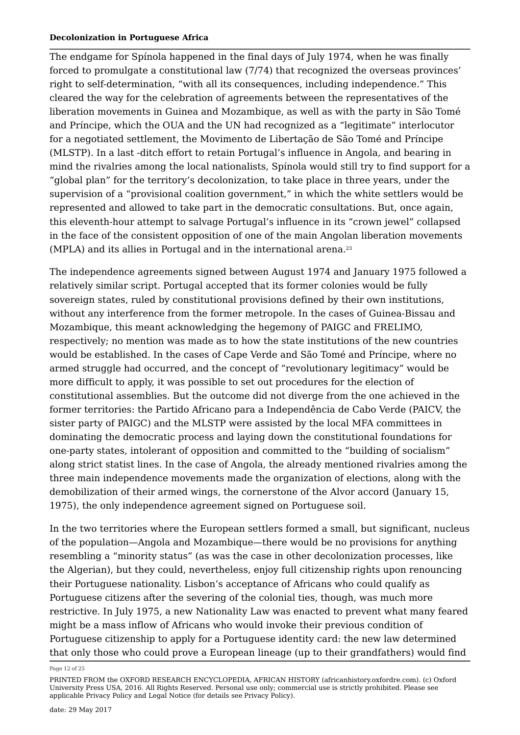The endgame for Spínola happened in the final days of July 1974, when he was finally forced to promulgate a constitutional law (7/74) that recognized the overseas provinces' right to self-determination, "with all its consequences, including independence." This cleared the way for the celebration of agreements between the representatives of the liberation movements in Guinea and Mozambique, as well as with the party in São Tomé and Príncipe, which the OUA and the UN had recognized as a "legitimate" interlocutor for a negotiated settlement, the Movimento de Libertação de São Tomé and Príncipe (MLSTP). In a last -ditch effort to retain Portugal's influence in Angola, and bearing in mind the rivalries among the local nationalists, Spínola would still try to find support for a "global plan" for the territory's decolonization, to take place in three years, under the supervision of a "provisional coalition government," in which the white settlers would be represented and allowed to take part in the democratic consultations. But, once again, this eleventh-hour attempt to salvage Portugal's influence in its "crown jewel" collapsed in the face of the consistent opposition of one of the main Angolan liberation movements (MPLA) and its allies in Portugal and in the international arena. 23

The independence agreements signed between August 1974 and January 1975 followed a relatively similar script. Portugal accepted that its former colonies would be fully sovereign states, ruled by constitutional provisions defined by their own institutions, without any interference from the former metropole. In the cases of Guinea-Bissau and Mozambique, this meant acknowledging the hegemony of PAIGC and FRELIMO, respectively; no mention was made as to how the state institutions of the new countries would be established. In the cases of Cape Verde and São Tomé and Príncipe, where no armed struggle had occurred, and the concept of "revolutionary legitimacy" would be more difficult to apply, it was possible to set out procedures for the election of constitutional assemblies. But the outcome did not diverge from the one achieved in the former territories: the Partido Africano para a Independência de Cabo Verde (PAICV, the sister party of PAIGC) and the MLSTP were assisted by the local MFA committees in dominating the democratic process and laying down the constitutional foundations for one-party states, intolerant of opposition and committed to the "building of socialism" along strict statist lines. In the case of Angola, the already mentioned rivalries among the three main independence movements made the organization of elections, along with the demobilization of their armed wings, the cornerstone of the Alvor accord (January 15, 1975), the only independence agreement signed on Portuguese soil.

In the two territories where the European settlers formed a small, but significant, nucleus of the population—Angola and Mozambique—there would be no provisions for anything resembling a "minority status" (as was the case in other decolonization processes, like the Algerian), but they could, nevertheless, enjoy full citizenship rights upon renouncing their Portuguese nationality. Lisbon's acceptance of Africans who could qualify as Portuguese citizens after the severing of the colonial ties, though, was much more restrictive. In July 1975, a new Nationality Law was enacted to prevent what many feared might be a mass inflow of Africans who would invoke their previous condition of Portuguese citizenship to apply for a Portuguese identity card: the new law determined that only those who could prove a European lineage (up to their grandfathers) would find

Page 12 of 25

PRINTED FROM the OXFORD RESEARCH ENCYCLOPEDIA, AFRICAN HISTORY (africanhistory.oxfordre.com). (c) Oxford University Press USA, 2016. All Rights Reserved. Personal use only; commercial use is strictly prohibited. Please see applicable Privacy Policy and Legal Notice (for details see Privacy Policy).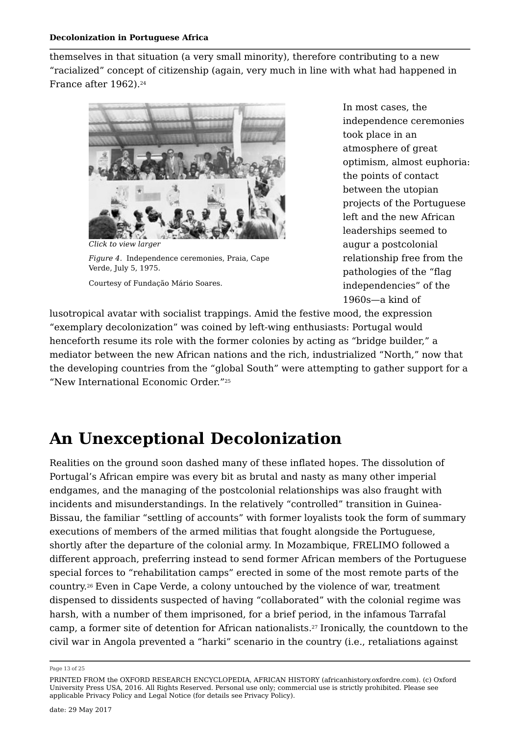themselves in that situation (a very small minority), therefore contributing to a new "racialized" concept of citizenship (again, very much in line with what had happened in France after 1962). 24



*Click to view larger Figure 4.* Independence ceremonies, Praia, Cape Verde, July 5, 1975. Courtesy of Fundação Mário Soares.

In most cases, the independence ceremonies took place in an atmosphere of great optimism, almost euphoria: the points of contact between the utopian projects of the Portuguese left and the new African leaderships seemed to augur a postcolonial relationship free from the pathologies of the "flag independencies" of the 1960s—a kind of

lusotropical avatar with socialist trappings. Amid the festive mood, the expression "exemplary decolonization" was coined by left-wing enthusiasts: Portugal would henceforth resume its role with the former colonies by acting as "bridge builder," a mediator between the new African nations and the rich, industrialized "North," now that the developing countries from the "global South" were attempting to gather support for a "New International Economic Order." 25

# **An Unexceptional Decolonization**

Realities on the ground soon dashed many of these inflated hopes. The dissolution of Portugal's African empire was every bit as brutal and nasty as many other imperial endgames, and the managing of the postcolonial relationships was also fraught with incidents and misunderstandings. In the relatively "controlled" transition in Guinea-Bissau, the familiar "settling of accounts" with former loyalists took the form of summary executions of members of the armed militias that fought alongside the Portuguese, shortly after the departure of the colonial army. In Mozambique, FRELIMO followed a different approach, preferring instead to send former African members of the Portuguese special forces to "rehabilitation camps" erected in some of the most remote parts of the country.<sup>26</sup> Even in Cape Verde, a colony untouched by the violence of war, treatment dispensed to dissidents suspected of having "collaborated" with the colonial regime was harsh, with a number of them imprisoned, for a brief period, in the infamous Tarrafal camp, a former site of detention for African nationalists.<sup>27</sup> Ironically, the countdown to the civil war in Angola prevented a "harki" scenario in the country (i.e., retaliations against

PRINTED FROM the OXFORD RESEARCH ENCYCLOPEDIA, AFRICAN HISTORY (africanhistory.oxfordre.com). (c) Oxford University Press USA, 2016. All Rights Reserved. Personal use only; commercial use is strictly prohibited. Please see applicable Privacy Policy and Legal Notice (for details see Privacy Policy).

Page 13 of 25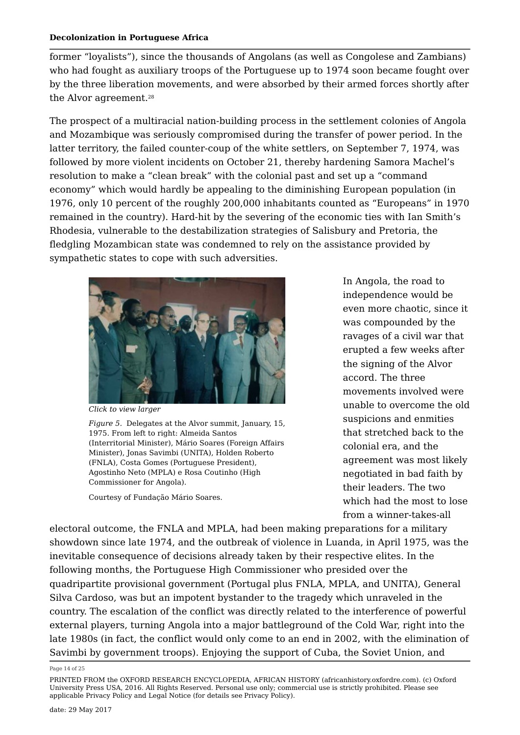former "loyalists"), since the thousands of Angolans (as well as Congolese and Zambians) who had fought as auxiliary troops of the Portuguese up to 1974 soon became fought over by the three liberation movements, and were absorbed by their armed forces shortly after the Alvor agreement. 28

The prospect of a multiracial nation-building process in the settlement colonies of Angola and Mozambique was seriously compromised during the transfer of power period. In the latter territory, the failed counter-coup of the white settlers, on September 7, 1974, was followed by more violent incidents on October 21, thereby hardening Samora Machel's resolution to make a "clean break" with the colonial past and set up a "command economy" which would hardly be appealing to the diminishing European population (in 1976, only 10 percent of the roughly 200,000 inhabitants counted as "Europeans" in 1970 remained in the country). Hard-hit by the severing of the economic ties with Ian Smith's Rhodesia, vulnerable to the destabilization strategies of Salisbury and Pretoria, the fledgling Mozambican state was condemned to rely on the assistance provided by sympathetic states to cope with such adversities.



*Click to view larger*

*Figure 5.* Delegates at the Alvor summit, January, 15, 1975. From left to right: Almeida Santos (Interritorial Minister), Mário Soares (Foreign Affairs Minister), Jonas Savimbi (UNITA), Holden Roberto (FNLA), Costa Gomes (Portuguese President), Agostinho Neto (MPLA) e Rosa Coutinho (High Commissioner for Angola).

Courtesy of Fundação Mário Soares.

In Angola, the road to independence would be even more chaotic, since it was compounded by the ravages of a civil war that erupted a few weeks after the signing of the Alvor accord. The three movements involved were unable to overcome the old suspicions and enmities that stretched back to the colonial era, and the agreement was most likely negotiated in bad faith by their leaders. The two which had the most to lose from a winner-takes-all

electoral outcome, the FNLA and MPLA, had been making preparations for a military showdown since late 1974, and the outbreak of violence in Luanda, in April 1975, was the inevitable consequence of decisions already taken by their respective elites. In the following months, the Portuguese High Commissioner who presided over the quadripartite provisional government (Portugal plus FNLA, MPLA, and UNITA), General Silva Cardoso, was but an impotent bystander to the tragedy which unraveled in the country. The escalation of the conflict was directly related to the interference of powerful external players, turning Angola into a major battleground of the Cold War, right into the late 1980s (in fact, the conflict would only come to an end in 2002, with the elimination of Savimbi by government troops). Enjoying the support of Cuba, the Soviet Union, and

Page 14 of 25

PRINTED FROM the OXFORD RESEARCH ENCYCLOPEDIA, AFRICAN HISTORY (africanhistory.oxfordre.com). (c) Oxford University Press USA, 2016. All Rights Reserved. Personal use only; commercial use is strictly prohibited. Please see applicable Privacy Policy and Legal Notice (for details see Privacy Policy).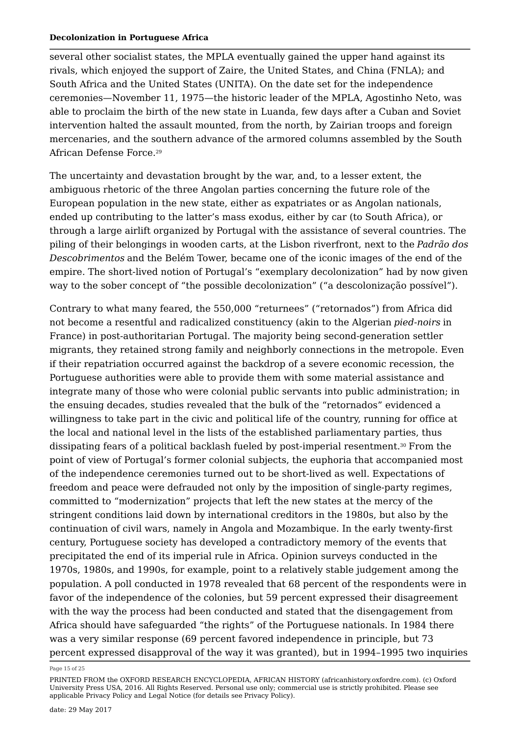several other socialist states, the MPLA eventually gained the upper hand against its rivals, which enjoyed the support of Zaire, the United States, and China (FNLA); and South Africa and the United States (UNITA). On the date set for the independence ceremonies—November 11, 1975—the historic leader of the MPLA, Agostinho Neto, was able to proclaim the birth of the new state in Luanda, few days after a Cuban and Soviet intervention halted the assault mounted, from the north, by Zairian troops and foreign mercenaries, and the southern advance of the armored columns assembled by the South African Defense Force. 29

The uncertainty and devastation brought by the war, and, to a lesser extent, the ambiguous rhetoric of the three Angolan parties concerning the future role of the European population in the new state, either as expatriates or as Angolan nationals, ended up contributing to the latter's mass exodus, either by car (to South Africa), or through a large airlift organized by Portugal with the assistance of several countries. The piling of their belongings in wooden carts, at the Lisbon riverfront, next to the *Padrão dos Descobrimentos* and the Belém Tower, became one of the iconic images of the end of the empire. The short-lived notion of Portugal's "exemplary decolonization" had by now given way to the sober concept of "the possible decolonization" ("a descolonização possível").

Contrary to what many feared, the 550,000 "returnees" ("retornados") from Africa did not become a resentful and radicalized constituency (akin to the Algerian *pied-noirs* in France) in post-authoritarian Portugal. The majority being second-generation settler migrants, they retained strong family and neighborly connections in the metropole. Even if their repatriation occurred against the backdrop of a severe economic recession, the Portuguese authorities were able to provide them with some material assistance and integrate many of those who were colonial public servants into public administration; in the ensuing decades, studies revealed that the bulk of the "retornados" evidenced a willingness to take part in the civic and political life of the country, running for office at the local and national level in the lists of the established parliamentary parties, thus dissipating fears of a political backlash fueled by post-imperial resentment.<sup>30</sup> From the point of view of Portugal's former colonial subjects, the euphoria that accompanied most of the independence ceremonies turned out to be short-lived as well. Expectations of freedom and peace were defrauded not only by the imposition of single-party regimes, committed to "modernization" projects that left the new states at the mercy of the stringent conditions laid down by international creditors in the 1980s, but also by the continuation of civil wars, namely in Angola and Mozambique. In the early twenty-first century, Portuguese society has developed a contradictory memory of the events that precipitated the end of its imperial rule in Africa. Opinion surveys conducted in the 1970s, 1980s, and 1990s, for example, point to a relatively stable judgement among the population. A poll conducted in 1978 revealed that 68 percent of the respondents were in favor of the independence of the colonies, but 59 percent expressed their disagreement with the way the process had been conducted and stated that the disengagement from Africa should have safeguarded "the rights" of the Portuguese nationals. In 1984 there was a very similar response (69 percent favored independence in principle, but 73 percent expressed disapproval of the way it was granted), but in 1994–1995 two inquiries

Page 15 of 25

PRINTED FROM the OXFORD RESEARCH ENCYCLOPEDIA, AFRICAN HISTORY (africanhistory.oxfordre.com). (c) Oxford University Press USA, 2016. All Rights Reserved. Personal use only; commercial use is strictly prohibited. Please see applicable Privacy Policy and Legal Notice (for details see Privacy Policy).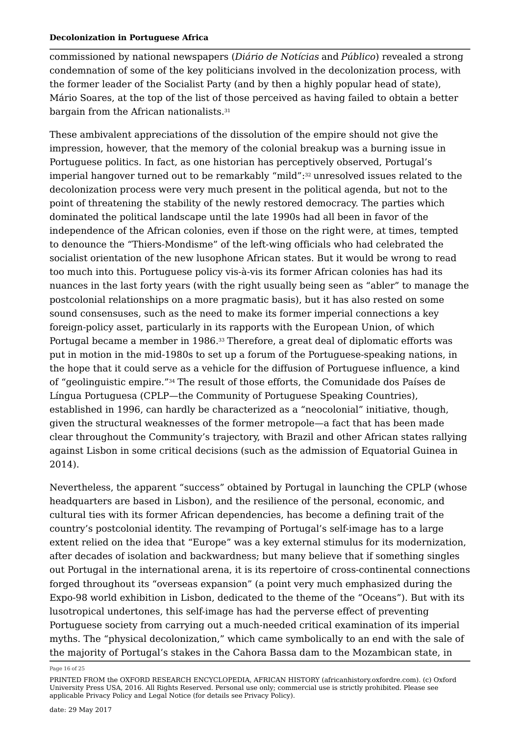commissioned by national newspapers (*Diário de Notícias* and *Público*) revealed a strong condemnation of some of the key politicians involved in the decolonization process, with the former leader of the Socialist Party (and by then a highly popular head of state), Mário Soares, at the top of the list of those perceived as having failed to obtain a better bargain from the African nationalists. 31

These ambivalent appreciations of the dissolution of the empire should not give the impression, however, that the memory of the colonial breakup was a burning issue in Portuguese politics. In fact, as one historian has perceptively observed, Portugal's imperial hangover turned out to be remarkably "mild": $^{\rm 32}$  unresolved issues related to the decolonization process were very much present in the political agenda, but not to the point of threatening the stability of the newly restored democracy. The parties which dominated the political landscape until the late 1990s had all been in favor of the independence of the African colonies, even if those on the right were, at times, tempted to denounce the "Thiers-Mondisme" of the left-wing officials who had celebrated the socialist orientation of the new lusophone African states. But it would be wrong to read too much into this. Portuguese policy vis-à-vis its former African colonies has had its nuances in the last forty years (with the right usually being seen as "abler" to manage the postcolonial relationships on a more pragmatic basis), but it has also rested on some sound consensuses, such as the need to make its former imperial connections a key foreign-policy asset, particularly in its rapports with the European Union, of which Portugal became a member in 1986. $^{\rm 33}$ Therefore, a great deal of diplomatic efforts was put in motion in the mid-1980s to set up a forum of the Portuguese-speaking nations, in the hope that it could serve as a vehicle for the diffusion of Portuguese influence, a kind of "geolinguistic empire." $^{34}$  The result of those efforts, the Comunidade dos Países de Língua Portuguesa (CPLP—the Community of Portuguese Speaking Countries), established in 1996, can hardly be characterized as a "neocolonial" initiative, though, given the structural weaknesses of the former metropole—a fact that has been made clear throughout the Community's trajectory, with Brazil and other African states rallying against Lisbon in some critical decisions (such as the admission of Equatorial Guinea in 2014).

Nevertheless, the apparent "success" obtained by Portugal in launching the CPLP (whose headquarters are based in Lisbon), and the resilience of the personal, economic, and cultural ties with its former African dependencies, has become a defining trait of the country's postcolonial identity. The revamping of Portugal's self-image has to a large extent relied on the idea that "Europe" was a key external stimulus for its modernization, after decades of isolation and backwardness; but many believe that if something singles out Portugal in the international arena, it is its repertoire of cross-continental connections forged throughout its "overseas expansion" (a point very much emphasized during the Expo-98 world exhibition in Lisbon, dedicated to the theme of the "Oceans"). But with its lusotropical undertones, this self-image has had the perverse effect of preventing Portuguese society from carrying out a much-needed critical examination of its imperial myths. The "physical decolonization," which came symbolically to an end with the sale of the majority of Portugal's stakes in the Cahora Bassa dam to the Mozambican state, in

Page 16 of 25

PRINTED FROM the OXFORD RESEARCH ENCYCLOPEDIA, AFRICAN HISTORY (africanhistory.oxfordre.com). (c) Oxford University Press USA, 2016. All Rights Reserved. Personal use only; commercial use is strictly prohibited. Please see applicable Privacy Policy and Legal Notice (for details see Privacy Policy).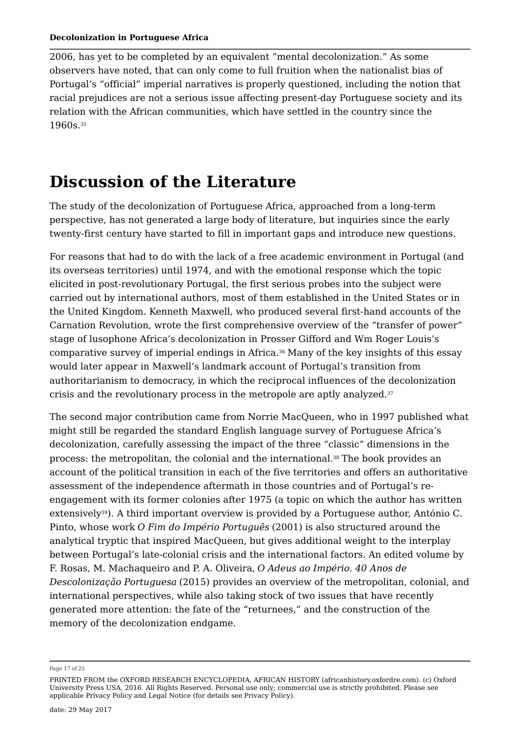2006, has yet to be completed by an equivalent "mental decolonization." As some observers have noted, that can only come to full fruition when the nationalist bias of Portugal's "official" imperial narratives is properly questioned, including the notion that racial prejudices are not a serious issue affecting present-day Portuguese society and its relation with the African communities, which have settled in the country since the 1960s. 35

# **Discussion of the Literature**

The study of the decolonization of Portuguese Africa, approached from a long-term perspective, has not generated a large body of literature, but inquiries since the early twenty-first century have started to fill in important gaps and introduce new questions.

For reasons that had to do with the lack of a free academic environment in Portugal (and its overseas territories) until 1974, and with the emotional response which the topic elicited in post-revolutionary Portugal, the first serious probes into the subject were carried out by international authors, most of them established in the United States or in the United Kingdom. Kenneth Maxwell, who produced several first-hand accounts of the Carnation Revolution, wrote the first comprehensive overview of the "transfer of power" stage of lusophone Africa's decolonization in Prosser Gifford and Wm Roger Louis's comparative survey of imperial endings in Africa. $^{\rm 36}$  Many of the key insights of this essay would later appear in Maxwell's landmark account of Portugal's transition from authoritarianism to democracy, in which the reciprocal influences of the decolonization crisis and the revolutionary process in the metropole are aptly analyzed. 37

The second major contribution came from Norrie MacQueen, who in 1997 published what might still be regarded the standard English language survey of Portuguese Africa's decolonization, carefully assessing the impact of the three "classic" dimensions in the process: the metropolitan, the colonial and the international. $^{\rm 38}$  The book provides an account of the political transition in each of the five territories and offers an authoritative assessment of the independence aftermath in those countries and of Portugal's reengagement with its former colonies after 1975 (a topic on which the author has written extensively39). A third important overview is provided by a Portuguese author, António C. Pinto, whose work *O Fim do Império Português* (2001) is also structured around the analytical tryptic that inspired MacQueen, but gives additional weight to the interplay between Portugal's late-colonial crisis and the international factors. An edited volume by F. Rosas, M. Machaqueiro and P. A. Oliveira, *O Adeus ao Império. 40 Anos de Descolonização Portuguesa* (2015) provides an overview of the metropolitan, colonial, and international perspectives, while also taking stock of two issues that have recently generated more attention: the fate of the "returnees," and the construction of the memory of the decolonization endgame.

Page 17 of 25

PRINTED FROM the OXFORD RESEARCH ENCYCLOPEDIA, AFRICAN HISTORY (africanhistory.oxfordre.com). (c) Oxford University Press USA, 2016. All Rights Reserved. Personal use only; commercial use is strictly prohibited. Please see applicable Privacy Policy and Legal Notice (for details see Privacy Policy).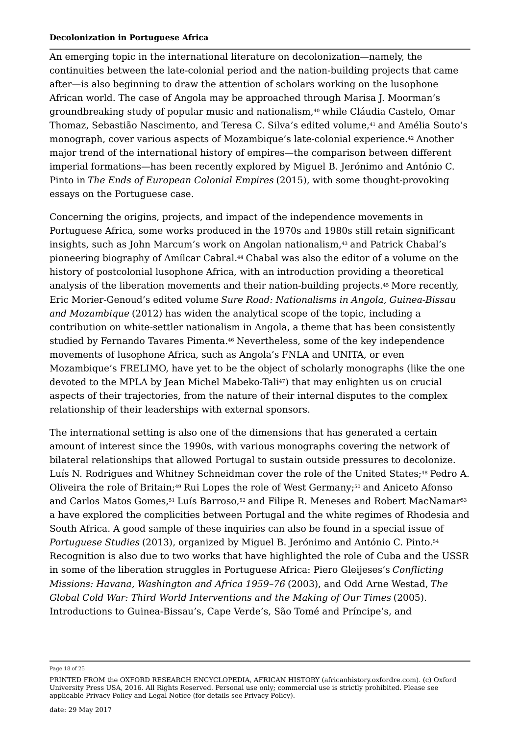An emerging topic in the international literature on decolonization—namely, the continuities between the late-colonial period and the nation-building projects that came after—is also beginning to draw the attention of scholars working on the lusophone African world. The case of Angola may be approached through Marisa J. Moorman's groundbreaking study of popular music and nationalism, $\scriptstyle 40$  while Cláudia Castelo, Omar Thomaz, Sebastião Nascimento, and Teresa C. Silva's edited volume, $^\mathrm{41}$  and Amélia Souto's monograph, cover various aspects of Mozambique's late-colonial experience.42 Another major trend of the international history of empires—the comparison between different imperial formations—has been recently explored by Miguel B. Jerónimo and António C. Pinto in *The Ends of European Colonial Empires* (2015), with some thought-provoking essays on the Portuguese case.

Concerning the origins, projects, and impact of the independence movements in Portuguese Africa, some works produced in the 1970s and 1980s still retain significant insights, such as John Marcum's work on Angolan nationalism, $\scriptstyle\rm 43$  and Patrick Chabal's pioneering biography of Amílcar Cabral.44 Chabal was also the editor of a volume on the history of postcolonial lusophone Africa, with an introduction providing a theoretical analysis of the liberation movements and their nation-building projects. More recently, 45 Eric Morier-Genoud's edited volume *Sure Road: Nationalisms in Angola, Guinea-Bissau and Mozambique* (2012) has widen the analytical scope of the topic, including a contribution on white-settler nationalism in Angola, a theme that has been consistently studied by Fernando Tavares Pimenta.46 Nevertheless, some of the key independence movements of lusophone Africa, such as Angola's FNLA and UNITA, or even Mozambique's FRELIMO, have yet to be the object of scholarly monographs (like the one devoted to the MPLA by Jean Michel Mabeko-Tali $^{\rm 47)}$  that may enlighten us on crucial aspects of their trajectories, from the nature of their internal disputes to the complex relationship of their leaderships with external sponsors.

The international setting is also one of the dimensions that has generated a certain amount of interest since the 1990s, with various monographs covering the network of bilateral relationships that allowed Portugal to sustain outside pressures to decolonize. Luís N. Rodrigues and Whitney Schneidman cover the role of the United States; $^{\rm 48}$  Pedro A. Oliveira the role of Britain;49 Rui Lopes the role of West Germany;<sup>50</sup> and Aniceto Afonso and Carlos Matos Gomes, $^{\rm 51}$  Luís Barroso, $^{\rm 52}$  and Filipe R. Meneses and Robert MacNamar $^{\rm 53}$ a have explored the complicities between Portugal and the white regimes of Rhodesia and South Africa. A good sample of these inquiries can also be found in a special issue of *Portuguese Studies* (2013), organized by Miguel B. Jerónimo and António C. Pinto. 54Recognition is also due to two works that have highlighted the role of Cuba and the USSR in some of the liberation struggles in Portuguese Africa: Piero Gleijeses's *Conflicting Missions: Havana, Washington and Africa 1959–76* (2003), and Odd Arne Westad, *The Global Cold War: Third World Interventions and the Making of Our Times* (2005). Introductions to Guinea-Bissau's, Cape Verde's, São Tomé and Príncipe's, and

Page 18 of 25

PRINTED FROM the OXFORD RESEARCH ENCYCLOPEDIA, AFRICAN HISTORY (africanhistory.oxfordre.com). (c) Oxford University Press USA, 2016. All Rights Reserved. Personal use only; commercial use is strictly prohibited. Please see applicable Privacy Policy and Legal Notice (for details see Privacy Policy).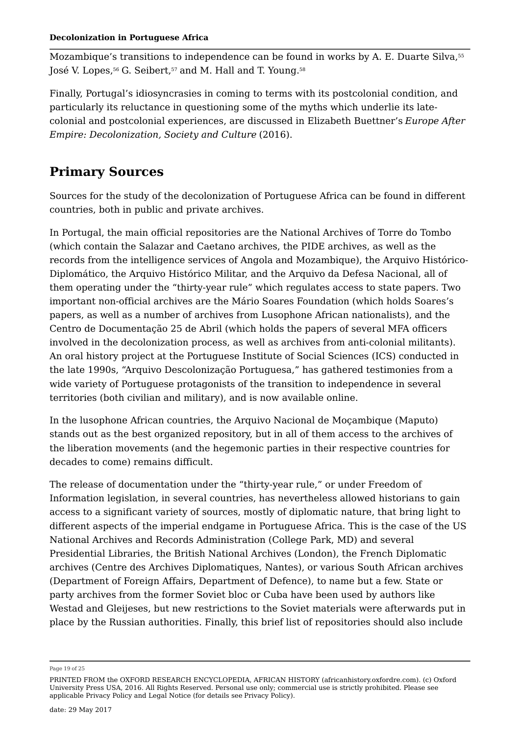Mozambique's transitions to independence can be found in works by A. E. Duarte Silva, José V. Lopes, $\rm ^{56}$  G. Seibert, $\rm ^{57}$  and M. Hall and T. Young. $\rm ^{58}$ 55

Finally, Portugal's idiosyncrasies in coming to terms with its postcolonial condition, and particularly its reluctance in questioning some of the myths which underlie its latecolonial and postcolonial experiences, are discussed in Elizabeth Buettner's *Europe After Empire: Decolonization, Society and Culture* (2016).

### **Primary Sources**

Sources for the study of the decolonization of Portuguese Africa can be found in different countries, both in public and private archives.

In Portugal, the main official repositories are the National Archives of Torre do Tombo (which contain the Salazar and Caetano archives, the PIDE archives, as well as the records from the intelligence services of Angola and Mozambique), the Arquivo Histórico-Diplomático, the Arquivo Histórico Militar, and the Arquivo da Defesa Nacional, all of them operating under the "thirty-year rule" which regulates access to state papers. Two important non-official archives are the Mário Soares Foundation (which holds Soares's papers, as well as a number of archives from Lusophone African nationalists), and the Centro de Documentação 25 de Abril (which holds the papers of several MFA officers involved in the decolonization process, as well as archives from anti-colonial militants). An oral history project at the Portuguese Institute of Social Sciences (ICS) conducted in the late 1990s, "Arquivo Descolonização Portuguesa," has gathered testimonies from a wide variety of Portuguese protagonists of the transition to independence in several territories (both civilian and military), and is now available online.

In the lusophone African countries, the Arquivo Nacional de Moçambique (Maputo) stands out as the best organized repository, but in all of them access to the archives of the liberation movements (and the hegemonic parties in their respective countries for decades to come) remains difficult.

The release of documentation under the "thirty-year rule," or under Freedom of Information legislation, in several countries, has nevertheless allowed historians to gain access to a significant variety of sources, mostly of diplomatic nature, that bring light to different aspects of the imperial endgame in Portuguese Africa. This is the case of the US National Archives and Records Administration (College Park, MD) and several Presidential Libraries, the British National Archives (London), the French Diplomatic archives (Centre des Archives Diplomatiques, Nantes), or various South African archives (Department of Foreign Affairs, Department of Defence), to name but a few. State or party archives from the former Soviet bloc or Cuba have been used by authors like Westad and Gleijeses, but new restrictions to the Soviet materials were afterwards put in place by the Russian authorities. Finally, this brief list of repositories should also include

Page 19 of 25

PRINTED FROM the OXFORD RESEARCH ENCYCLOPEDIA, AFRICAN HISTORY (africanhistory.oxfordre.com). (c) Oxford University Press USA, 2016. All Rights Reserved. Personal use only; commercial use is strictly prohibited. Please see applicable Privacy Policy and Legal Notice (for details see Privacy Policy).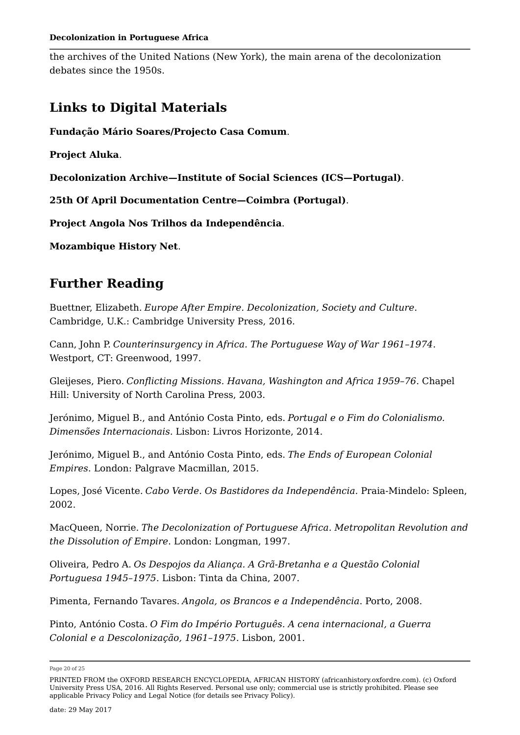the archives of the United Nations (New York), the main arena of the decolonization debates since the 1950s.

### **Links to Digital Materials**

**Fundação Mário Soares/Projecto Casa Comum**.

**Project Aluka**.

**Decolonization Archive—Institute of Social Sciences (ICS—Portugal)**.

**25th Of April Documentation Centre—Coimbra (Portugal)**.

**Project Angola Nos Trilhos da Independência**.

**Mozambique History Net**.

### **Further Reading**

Buettner, Elizabeth. *Europe After Empire. Decolonization, Society and Culture*. Cambridge, U.K.: Cambridge University Press, 2016.

Cann, John P. *Counterinsurgency in Africa. The Portuguese Way of War 1961–1974*. Westport, CT: Greenwood, 1997.

Gleijeses, Piero. *Conflicting Missions. Havana, Washington and Africa 1959–76*. Chapel Hill: University of North Carolina Press, 2003.

Jerónimo, Miguel B., and António Costa Pinto, eds. *Portugal e o Fim do Colonialismo. Dimensões Internacionais*. Lisbon: Livros Horizonte, 2014.

Jerónimo, Miguel B., and António Costa Pinto, eds. *The Ends of European Colonial Empires*. London: Palgrave Macmillan, 2015.

Lopes, José Vicente. *Cabo Verde. Os Bastidores da Independência*. Praia-Mindelo: Spleen, 2002.

MacQueen, Norrie. *The Decolonization of Portuguese Africa. Metropolitan Revolution and the Dissolution of Empire*. London: Longman, 1997.

Oliveira, Pedro A. *Os Despojos da Aliança. A Grã-Bretanha e a Questão Colonial Portuguesa 1945–1975*. Lisbon: Tinta da China, 2007.

Pimenta, Fernando Tavares. *Angola, os Brancos e a Independência*. Porto, 2008.

Pinto, António Costa. *O Fim do Império Português. A cena internacional, a Guerra Colonial e a Descolonização, 1961–1975*. Lisbon, 2001.

Page 20 of 25

PRINTED FROM the OXFORD RESEARCH ENCYCLOPEDIA, AFRICAN HISTORY (africanhistory.oxfordre.com). (c) Oxford University Press USA, 2016. All Rights Reserved. Personal use only; commercial use is strictly prohibited. Please see applicable Privacy Policy and Legal Notice (for details see Privacy Policy).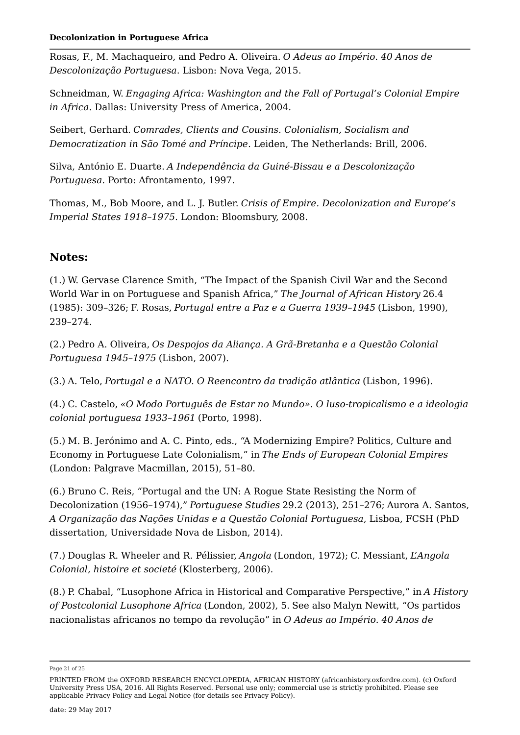Rosas, F., M. Machaqueiro, and Pedro A. Oliveira. *O Adeus ao Império. 40 Anos de Descolonização Portuguesa*. Lisbon: Nova Vega, 2015.

Schneidman, W. *Engaging Africa: Washington and the Fall of Portugal's Colonial Empire in Africa*. Dallas: University Press of America, 2004.

Seibert, Gerhard. *Comrades, Clients and Cousins. Colonialism, Socialism and Democratization in São Tomé and Príncipe*. Leiden, The Netherlands: Brill, 2006.

Silva, António E. Duarte. *A Independência da Guiné-Bissau e a Descolonização Portuguesa*. Porto: Afrontamento, 1997.

Thomas, M., Bob Moore, and L. J. Butler. *Crisis of Empire. Decolonization and Europe's Imperial States 1918–1975*. London: Bloomsbury, 2008.

### **Notes:**

(1.) W. Gervase Clarence Smith, "The Impact of the Spanish Civil War and the Second World War in on Portuguese and Spanish Africa," *The Journal of African History* 26.4 (1985): 309–326; F. Rosas, *Portugal entre a Paz e a Guerra 1939–1945* (Lisbon, 1990), 239–274.

(2.) Pedro A. Oliveira, *Os Despojos da Aliança. A Grã-Bretanha e a Questão Colonial Portuguesa 1945–1975* (Lisbon, 2007).

(3.) A. Telo, *Portugal e a NATO. O Reencontro da tradição atlântica* (Lisbon, 1996).

(4.) C. Castelo, *«O Modo Português de Estar no Mundo». O luso-tropicalismo e a ideologia colonial portuguesa 1933–1961* (Porto, 1998).

(5.) M. B. Jerónimo and A. C. Pinto, eds., "A Modernizing Empire? Politics, Culture and Economy in Portuguese Late Colonialism," in *The Ends of European Colonial Empires* (London: Palgrave Macmillan, 2015), 51–80.

(6.) Bruno C. Reis, "Portugal and the UN: A Rogue State Resisting the Norm of Decolonization (1956–1974)," *Portuguese Studies* 29.2 (2013), 251–276; Aurora A. Santos, *A Organização das Nações Unidas e a Questão Colonial Portuguesa*, Lisboa, FCSH (PhD dissertation, Universidade Nova de Lisbon, 2014).

(7.) Douglas R. Wheeler and R. Pélissier, *Angola* (London, 1972); C. Messiant, *L'Angola Colonial, histoire et societé* (Klosterberg, 2006).

(8.) P. Chabal, "Lusophone Africa in Historical and Comparative Perspective," in *A History of Postcolonial Lusophone Africa* (London, 2002), 5. See also Malyn Newitt, "Os partidos nacionalistas africanos no tempo da revolução" in *O Adeus ao Império. 40 Anos de*

Page 21 of 25

PRINTED FROM the OXFORD RESEARCH ENCYCLOPEDIA, AFRICAN HISTORY (africanhistory.oxfordre.com). (c) Oxford University Press USA, 2016. All Rights Reserved. Personal use only; commercial use is strictly prohibited. Please see applicable Privacy Policy and Legal Notice (for details see Privacy Policy).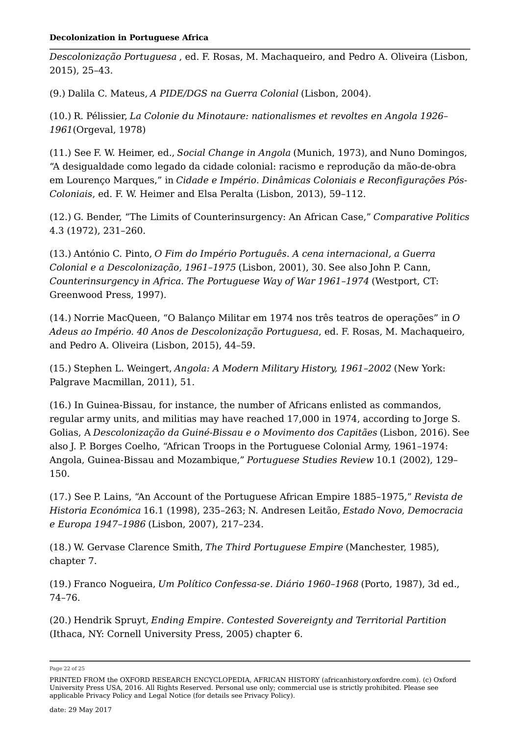*Descolonização Portuguesa* , ed. F. Rosas, M. Machaqueiro, and Pedro A. Oliveira (Lisbon, 2015), 25–43.

(9.) Dalila C. Mateus, *A PIDE/DGS na Guerra Colonial* (Lisbon, 2004).

(10.) R. Pélissier, *La Colonie du Minotaure: nationalismes et revoltes en Angola 1926– 1961*(Orgeval, 1978)

(11.) See F. W. Heimer, ed., *Social Change in Angola* (Munich, 1973), and Nuno Domingos, "A desigualdade como legado da cidade colonial: racismo e reprodução da mão-de-obra em Lourenço Marques," in *Cidade e Império. Dinâmicas Coloniais e Reconfigurações Pós-Coloniais*, ed. F. W. Heimer and Elsa Peralta (Lisbon, 2013), 59–112.

(12.) G. Bender, "The Limits of Counterinsurgency: An African Case," *Comparative Politics* 4.3 (1972), 231–260.

(13.) António C. Pinto, *O Fim do Império Português. A cena internacional, a Guerra Colonial e a Descolonização, 1961–1975* (Lisbon, 2001), 30. See also John P. Cann, *Counterinsurgency in Africa. The Portuguese Way of War 1961–1974* (Westport, CT: Greenwood Press, 1997).

(14.) Norrie MacQueen, "O Balanço Militar em 1974 nos três teatros de operações" in *O Adeus ao Império. 40 Anos de Descolonização Portuguesa*, ed. F. Rosas, M. Machaqueiro, and Pedro A. Oliveira (Lisbon, 2015), 44–59.

(15.) Stephen L. Weingert, *Angola: A Modern Military History, 1961–2002* (New York: Palgrave Macmillan, 2011), 51.

(16.) In Guinea-Bissau, for instance, the number of Africans enlisted as commandos, regular army units, and militias may have reached 17,000 in 1974, according to Jorge S. Golias, A *Descolonização da Guiné-Bissau e o Movimento dos Capitães* (Lisbon, 2016). See also J. P. Borges Coelho, "African Troops in the Portuguese Colonial Army, 1961–1974: Angola, Guinea-Bissau and Mozambique," *Portuguese Studies Review* 10.1 (2002), 129– 150.

(17.) See P. Lains, "An Account of the Portuguese African Empire 1885–1975," *Revista de Historia Económica* 16.1 (1998), 235–263; N. Andresen Leitão, *Estado Novo, Democracia e Europa 1947–1986* (Lisbon, 2007), 217–234.

(18.) W. Gervase Clarence Smith, *The Third Portuguese Empire* (Manchester, 1985), chapter 7.

(19.) Franco Nogueira, *Um Político Confessa-se. Diário 1960–1968* (Porto, 1987), 3d ed., 74–76.

(20.) Hendrik Spruyt, *Ending Empire. Contested Sovereignty and Territorial Partition* (Ithaca, NY: Cornell University Press, 2005) chapter 6.

Page 22 of 25

PRINTED FROM the OXFORD RESEARCH ENCYCLOPEDIA, AFRICAN HISTORY (africanhistory.oxfordre.com). (c) Oxford University Press USA, 2016. All Rights Reserved. Personal use only; commercial use is strictly prohibited. Please see applicable Privacy Policy and Legal Notice (for details see Privacy Policy).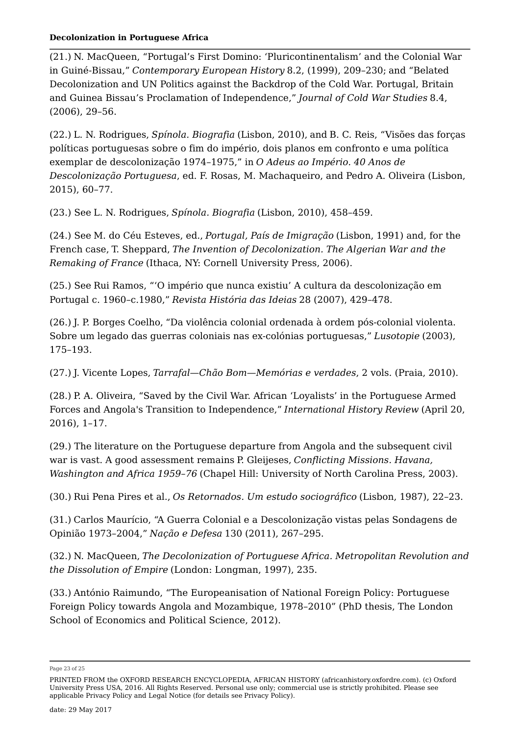(21.) N. MacQueen, "Portugal's First Domino: 'Pluricontinentalism' and the Colonial War in Guiné-Bissau," *Contemporary European History* 8.2, (1999), 209–230; and "Belated Decolonization and UN Politics against the Backdrop of the Cold War. Portugal, Britain and Guinea Bissau's Proclamation of Independence," *Journal of Cold War Studies* 8.4, (2006), 29–56.

(22.) L. N. Rodrigues, *Spínola. Biografia* (Lisbon, 2010), and B. C. Reis, "Visões das forças políticas portuguesas sobre o fim do império, dois planos em confronto e uma política exemplar de descolonização 1974–1975," in *O Adeus ao Império. 40 Anos de Descolonização Portuguesa*, ed. F. Rosas, M. Machaqueiro, and Pedro A. Oliveira (Lisbon, 2015), 60–77.

(23.) See L. N. Rodrigues, *Spínola. Biografia* (Lisbon, 2010), 458–459.

(24.) See M. do Céu Esteves, ed., *Portugal, País de Imigração* (Lisbon, 1991) and, for the French case, T. Sheppard, *The Invention of Decolonization. The Algerian War and the Remaking of France* (Ithaca, NY: Cornell University Press, 2006).

(25.) See Rui Ramos, "'O império que nunca existiu' A cultura da descolonização em Portugal c. 1960–c.1980," *Revista História das Ideias* 28 (2007), 429–478.

(26.) J. P. Borges Coelho, "Da violência colonial ordenada à ordem pós-colonial violenta. Sobre um legado das guerras coloniais nas ex-colónias portuguesas," *Lusotopie* (2003), 175–193.

(27.) J. Vicente Lopes, *Tarrafal—Chão Bom—Memórias e verdades*, 2 vols. (Praia, 2010).

(28.) P. A. Oliveira, "Saved by the Civil War. African 'Loyalists' in the Portuguese Armed Forces and Angola's Transition to Independence," *International History Review* (April 20, 2016), 1–17.

(29.) The literature on the Portuguese departure from Angola and the subsequent civil war is vast. A good assessment remains P. Gleijeses, *Conflicting Missions. Havana, Washington and Africa 1959–76* (Chapel Hill: University of North Carolina Press, 2003).

(30.) Rui Pena Pires et al., *Os Retornados. Um estudo sociográfico* (Lisbon, 1987), 22–23.

(31.) Carlos Maurício, "A Guerra Colonial e a Descolonização vistas pelas Sondagens de Opinião 1973–2004," *Nação e Defesa* 130 (2011), 267–295.

(32.) N. MacQueen, *The Decolonization of Portuguese Africa. Metropolitan Revolution and the Dissolution of Empire* (London: Longman, 1997), 235.

(33.) António Raimundo, "The Europeanisation of National Foreign Policy: Portuguese Foreign Policy towards Angola and Mozambique, 1978–2010" (PhD thesis, The London School of Economics and Political Science, 2012).

Page 23 of 25

PRINTED FROM the OXFORD RESEARCH ENCYCLOPEDIA, AFRICAN HISTORY (africanhistory.oxfordre.com). (c) Oxford University Press USA, 2016. All Rights Reserved. Personal use only; commercial use is strictly prohibited. Please see applicable Privacy Policy and Legal Notice (for details see Privacy Policy).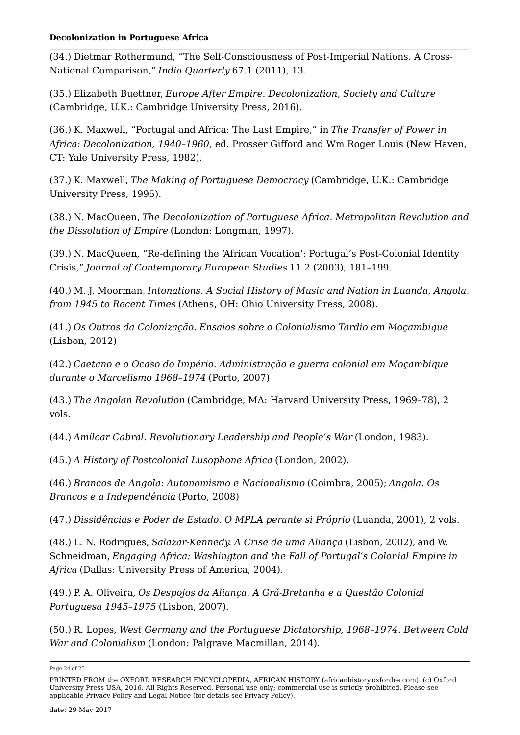(34.) Dietmar Rothermund, "The Self-Consciousness of Post-Imperial Nations. A Cross-National Comparison," *India Quarterly* 67.1 (2011), 13.

(35.) Elizabeth Buettner, *Europe After Empire. Decolonization, Society and Culture* (Cambridge, U.K.: Cambridge University Press, 2016).

(36.) K. Maxwell, "Portugal and Africa: The Last Empire," in *The Transfer of Power in Africa: Decolonization, 1940–1960*, ed. Prosser Gifford and Wm Roger Louis (New Haven, CT: Yale University Press, 1982).

(37.) K. Maxwell, *The Making of Portuguese Democracy* (Cambridge, U.K.: Cambridge University Press, 1995).

(38.) N. MacQueen, *The Decolonization of Portuguese Africa. Metropolitan Revolution and the Dissolution of Empire* (London: Longman, 1997).

(39.) N. MacQueen, "Re-defining the 'African Vocation': Portugal's Post-Colonial Identity Crisis," *Journal of Contemporary European Studies* 11.2 (2003), 181–199.

(40.) M. J. Moorman, *Intonations. A Social History of Music and Nation in Luanda, Angola, from 1945 to Recent Times* (Athens, OH: Ohio University Press, 2008).

(41.) *Os Outros da Colonização. Ensaios sobre o Colonialismo Tardio em Moçambique* (Lisbon, 2012)

(42.) *Caetano e o Ocaso do Império. Administração e guerra colonial em Moçambique durante o Marcelismo 1968–1974* (Porto, 2007)

(43.) *The Angolan Revolution* (Cambridge, MA: Harvard University Press, 1969–78), 2 vols.

(44.) *Amílcar Cabral. Revolutionary Leadership and People's War* (London, 1983).

(45.) *A History of Postcolonial Lusophone Africa* (London, 2002).

(46.) *Brancos de Angola: Autonomismo e Nacionalismo* (Coimbra, 2005); *Angola. Os Brancos e a Independência* (Porto, 2008)

(47.) *Dissidências e Poder de Estado. O MPLA perante si Próprio* (Luanda, 2001), 2 vols.

(48.) L. N. Rodrigues, *Salazar-Kennedy. A Crise de uma Aliança* (Lisbon, 2002), and W. Schneidman, *Engaging Africa: Washington and the Fall of Portugal's Colonial Empire in Africa* (Dallas: University Press of America, 2004).

(49.) P. A. Oliveira, *Os Despojos da Aliança. A Grã-Bretanha e a Questão Colonial Portuguesa 1945–1975* (Lisbon, 2007).

(50.) R. Lopes, *West Germany and the Portuguese Dictatorship, 1968–1974. Between Cold War and Colonialism* (London: Palgrave Macmillan, 2014).

Page 24 of 25

PRINTED FROM the OXFORD RESEARCH ENCYCLOPEDIA, AFRICAN HISTORY (africanhistory.oxfordre.com). (c) Oxford University Press USA, 2016. All Rights Reserved. Personal use only; commercial use is strictly prohibited. Please see applicable Privacy Policy and Legal Notice (for details see Privacy Policy).